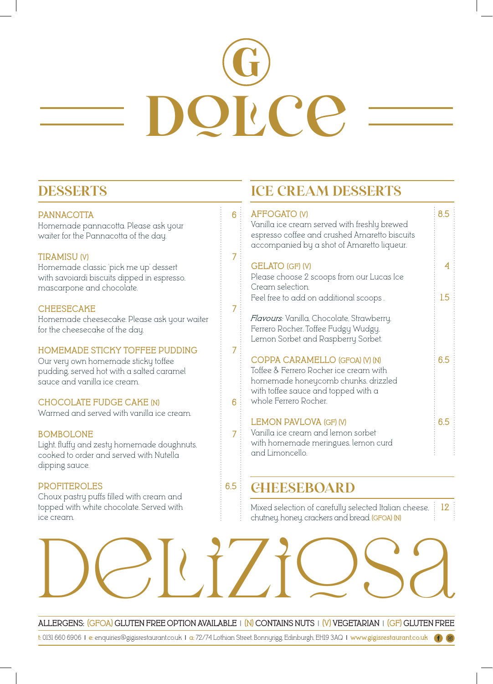# **dolce**

# **DESSERTS**

### **PANNACOTTA 6**

Homemade pannacotta. Please ask your waiter for the Pannacotta of the day.

### **TIRAMISU (V) 7**

Homemade classic 'pick me up' dessert with savoiardi biscuits dipped in espresso, mascarpone and chocolate.

### **CHEESECAKE 7**

Homemade cheesecake. Please ask your waiter for the cheesecake of the day.

### **HOMEMADE STICKY TOFFEE PUDDING 7**

Our very own homemade sticky toffee pudding, served hot with a salted caramel sauce and vanilla ice cream.

### **CHOCOLATE FUDGE CAKE (N) 6**

Warmed and served with vanilla ice cream.

### **BOMBOLONE 7**

Light, fluffy and zesty homemade doughnuts, cooked to order and served with Nutella dipping sauce.

### **PROFITEROLES 6.5**

Choux pastry puffs filled with cream and topped with white chocolate. Served with ice cream.

# **ICE CREAM DESSERTS**

### **AFFOGATO (V)** 8.5

Vanilla ice cream served with freshly brewed espresso coffee and crushed Amaretto biscuits accompanied by a shot of Amaretto liqueur.

### **GELATO (GF) (V) 4**

Please choose 2 scoops from our Lucas Ice Cream selection.

Feel free to add on additional scoops . **1.5**

*Flavours:* Vanilla, Chocolate, Strawberry, Ferrero Rocher, Toffee Fudgy Wudgy, Lemon Sorbet and Raspberry Sorbet.

### **COPPA CARAMELLO (GFOA) (V) (N) 6.5**

Toffee & Ferrero Rocher ice cream with homemade honeycomb chunks, drizzled with toffee sauce and topped with a whole Ferrero Rocher.

### LEMON PAVLOVA (GF) (V) **6.5**

Vanilla ice cream and lemon sorbet with homemade meringues, lemon curd and Limoncello.

# **CHEESEBOARD**

Mixed selection of carefully selected Italian cheese, **12**  chutney, honey, crackers and bread. **(GFOA) (N)**

**ALLERGENS: (GFOA) GLUTEN FREE OPTION AVAILABLE | (N) CONTAINS NUTS | (V) VEGETARIAN | (GF) GLUTEN FREE**

deliziosa

**t:** 0131 660 6906 **| e:** enquiries@gigisrestaurant.co.uk **| a:** 72/74 Lothian Street, Bonnyrigg, Edinburgh, EH19 3AQ **| www.gigisrestaurant.co.uk**